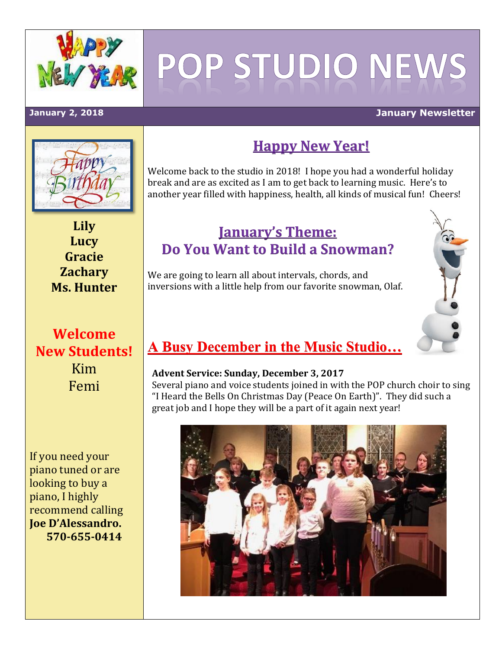

# POP STUDIO NEW

#### **January 2, 2018 January Newsletter**



# **Happy New Year!**

Welcome back to the studio in 2018! I hope you had a wonderful holiday break and are as excited as I am to get back to learning music. Here's to another year filled with happiness, health, all kinds of musical fun! Cheers!

**Lily Lucy Gracie Zachary Ms. Hunter**

# **Welcome New Students!** Kim Femi

If you need your piano tuned or are looking to buy a piano, I highly recommend calling **Joe D'Alessandro. 570-655-0414**

### **January's Theme: Do You Want to Build a Snowman?**

We are going to learn all about intervals, chords, and inversions with a little help from our favorite snowman, Olaf.



#### **Advent Service: Sunday, December 3, 2017**

Several piano and voice students joined in with the POP church choir to sing "I Heard the Bells On Christmas Day (Peace On Earth)". They did such a great job and I hope they will be a part of it again next year!